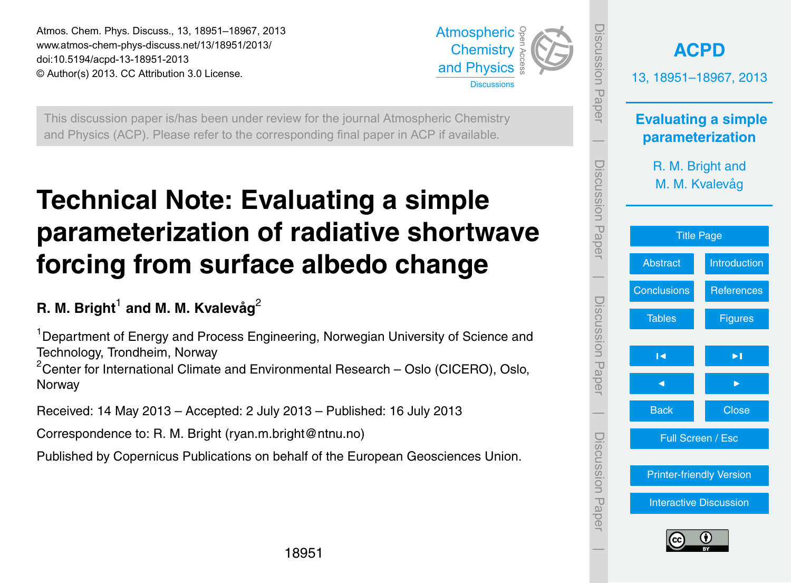<span id="page-0-0"></span>Atmos. Chem. Phys. Discuss., 13, 18951–18967, 2013 www.atmos-chem-phys-discuss.net/13/18951/2013/<br>dei:10.5194/sepd.13.18951.2012 doi:10.5194/acpd-13-18951-2013 © Author(s) 2013. CC Attribution 3.0 License. and Physics



Open Access

Atmospheric This discussion paper is/has been under review for the journal Atmospheric Chemistry and Physics (ACP). Please refer to the corresponding final paper in ACP if available. ev<br>p Atmospheric

#### ato: Evaluating a cimple  $\overline{\phantom{a}}$ Technical Note: Evaluating a simple food an iaut Open Access Open Access Climate forcing from surface albedo change **parameterization of radiative shortwave**

# R. M. Bright<sup>1</sup> and M. M. Kvalevåg<sup>2</sup>

Earth System <sup>1</sup>Department of Energy and Process Engineering, Norwegian University of Science and<br>Technology Transheim, Namuay er<br>P n<br>C Technology, Trondheim, Norway

<sup>2</sup> Center for International Climate and Environmental Research – Oslo (CICERO), Oslo, Norway

Instrumentation Received: 14 May 2013 – Accepted: 2 July 2013 – Published: 16 July 2013  $\frac{1}{2}$  $\overline{\phantom{a}}$ 

Correspondence to: R. M. Bright (ryan.m.bright@ntnu.no)

Discussions Open Access Open Access Published by Copernicus Publications on behalf of the European Geosciences Union.<br>.

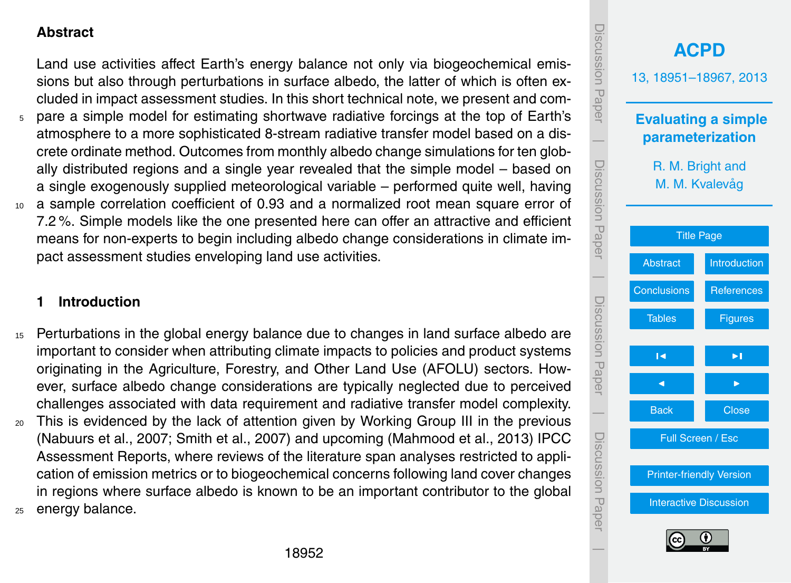# <span id="page-1-0"></span>**Abstract**

Land use activities affect Earth's energy balance not only via biogeochemical emissions but also through perturbations in surface albedo, the latter of which is often excluded in impact assessment studies. In this short technical note, we present and com-

- <sup>5</sup> pare a simple model for estimating shortwave radiative forcings at the top of Earth's atmosphere to a more sophisticated 8-stream radiative transfer model based on a discrete ordinate method. Outcomes from monthly albedo change simulations for ten globally distributed regions and a single year revealed that the simple model – based on a single exogenously supplied meteorological variable – performed quite well, having <sup>10</sup> a sample correlation coefficient of 0.93 and a normalized root mean square error of
- 7.2 %. Simple models like the one presented here can offer an attractive and efficient means for non-experts to begin including albedo change considerations in climate impact assessment studies enveloping land use activities.

# **1 Introduction**

- <sup>15</sup> Perturbations in the global energy balance due to changes in land surface albedo are important to consider when attributing climate impacts to policies and product systems originating in the Agriculture, Forestry, and Other Land Use (AFOLU) sectors. However, surface albedo change considerations are typically neglected due to perceived challenges associated with data requirement and radiative transfer model complexity.
- <sup>20</sup> This is evidenced by the lack of attention given by Working Group III in the previous (Nabuurs et al., 2007; Smith et al., 2007) and upcoming (Mahmood et al., 2013) IPCC Assessment Reports, where reviews of the literature span analyses restricted to application of emission metrics or to biogeochemical concerns following land cover changes in regions where surface albedo is known to be an important contributor to the global <sup>25</sup> energy balance.

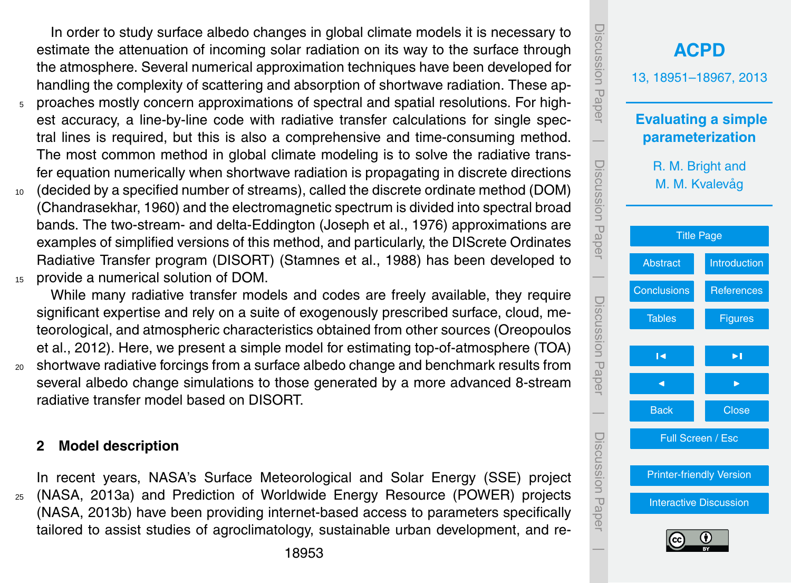In order to study surface albedo changes in global climate models it is necessary to estimate the attenuation of incoming solar radiation on its way to the surface through the atmosphere. Several numerical approximation techniques have been developed for handling the complexity of scattering and absorption of shortwave radiation. These ap-

- <sup>5</sup> proaches mostly concern approximations of spectral and spatial resolutions. For highest accuracy, a line-by-line code with radiative transfer calculations for single spectral lines is required, but this is also a comprehensive and time-consuming method. The most common method in global climate modeling is to solve the radiative transfer equation numerically when shortwave radiation is propagating in discrete directions
- <sup>10</sup> (decided by a specified number of streams), called the discrete ordinate method (DOM) (Chandrasekhar, 1960) and the electromagnetic spectrum is divided into spectral broad bands. The two-stream- and delta-Eddington (Joseph et al., 1976) approximations are examples of simplified versions of this method, and particularly, the DIScrete Ordinates Radiative Transfer program (DISORT) (Stamnes et al., 1988) has been developed to <sup>15</sup> provide a numerical solution of DOM.

While many radiative transfer models and codes are freely available, they require significant expertise and rely on a suite of exogenously prescribed surface, cloud, meteorological, and atmospheric characteristics obtained from other sources (Oreopoulos et al., 2012). Here, we present a simple model for estimating top-of-atmosphere (TOA) <sup>20</sup> shortwave radiative forcings from a surface albedo change and benchmark results from several albedo change simulations to those generated by a more advanced 8-stream radiative transfer model based on DISORT.

### **2 Model description**

In recent years, NASA's Surface Meteorological and Solar Energy (SSE) project <sup>25</sup> (NASA, 2013a) and Prediction of Worldwide Energy Resource (POWER) projects (NASA, 2013b) have been providing internet-based access to parameters specifically tailored to assist studies of agroclimatology, sustainable urban development, and re-

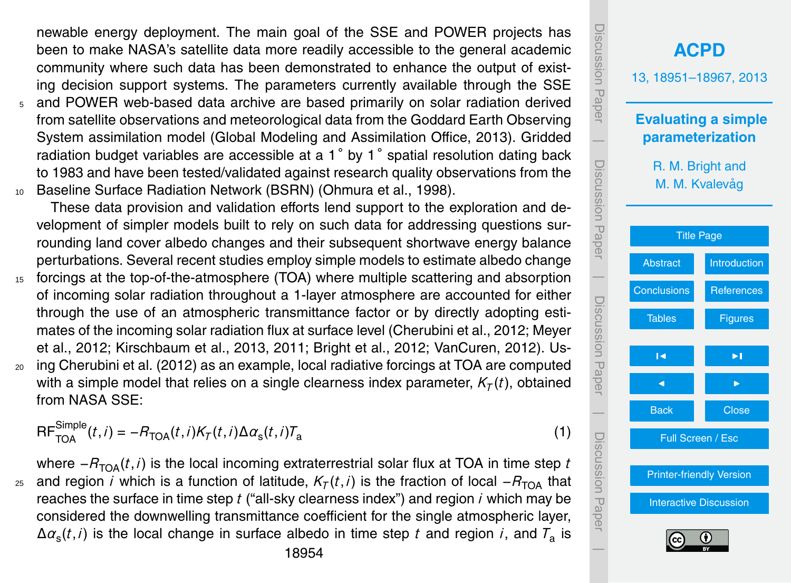newable energy deployment. The main goal of the SSE and POWER projects has been to make NASA's satellite data more readily accessible to the general academic community where such data has been demonstrated to enhance the output of existing decision support systems. The parameters currently available through the SSE

<sup>5</sup> and POWER web-based data archive are based primarily on solar radiation derived from satellite observations and meteorological data from the Goddard Earth Observing System assimilation model (Global Modeling and Assimilation Office, 2013). Gridded radiation budget variables are accessible at a 1° by 1° spatial resolution dating back to 1983 and have been tested/validated against research quality observations from the <sup>10</sup> Baseline Surface Radiation Network (BSRN) (Ohmura et al., 1998).

These data provision and validation efforts lend support to the exploration and development of simpler models built to rely on such data for addressing questions surrounding land cover albedo changes and their subsequent shortwave energy balance perturbations. Several recent studies employ simple models to estimate albedo change

- 15 forcings at the top-of-the-atmosphere (TOA) where multiple scattering and absorption of incoming solar radiation throughout a 1-layer atmosphere are accounted for either through the use of an atmospheric transmittance factor or by directly adopting estimates of the incoming solar radiation flux at surface level (Cherubini et al., 2012; Meyer et al., 2012; Kirschbaum et al., 2013, 2011; Bright et al., 2012; VanCuren, 2012). Us-<sup>20</sup> ing Cherubini et al. (2012) as an example, local radiative forcings at TOA are computed
- with a simple model that relies on a single clearness index parameter,  $\mathcal{K}_{\mathcal{T}}(t)$ , obtained from NASA SSE:

$$
\mathsf{RF}_{\mathsf{TOA}}^{\mathsf{Simple}}(t,i) = -R_{\mathsf{TOA}}(t,i)K_{\mathcal{T}}(t,i)\Delta\alpha_{\mathsf{s}}(t,i)T_{\mathsf{a}}
$$

where  $-R_{\text{TOA}}(t, i)$  is the local incoming extraterrestrial solar flux at TOA in time step *t*  $_{\rm z5}$  and region *i* which is a function of latitude,  $\mathcal{K}_{\mathcal{T}}(t,i)$  is the fraction of local − $R_{\rm TOA}$  that reaches the surface in time step *t* ("all-sky clearness index") and region *i* which may be considered the downwelling transmittance coefficient for the single atmospheric layer, ∆*α*<sup>s</sup> (*t*,*i*) is the local change in surface albedo in time step *t* and region *i*, and *T*<sup>a</sup> is

Discussion Paper**[ACPD](http://www.atmos-chem-phys-discuss.net)** 13, 18951–18967, 2013 **Evaluating a simple** |**parameterization** Discussion PaperR. M. Bright and M. M. Kvalevag˚ [Title Page](#page-0-0) [Abstract](#page-1-0) [Introduction](#page-1-0) | Discussion Paper[Conclusions](#page-7-0) [References](#page-7-0) [Tables](#page-12-0) [Figures](#page-15-0) J I J I |Back Close Discussion PaperFull Screen / Esc [Printer-friendly Version](http://www.atmos-chem-phys-discuss.net/13/18951/2013/acpd-13-18951-2013-print.pdf) [Interactive Discussion](http://www.atmos-chem-phys-discuss.net/13/18951/2013/acpd-13-18951-2013-discussion.html)

 $\overline{\phantom{a}}$ 

DISCUSSION<br>Hape

Discussion Papei

Discussion Pape

(1)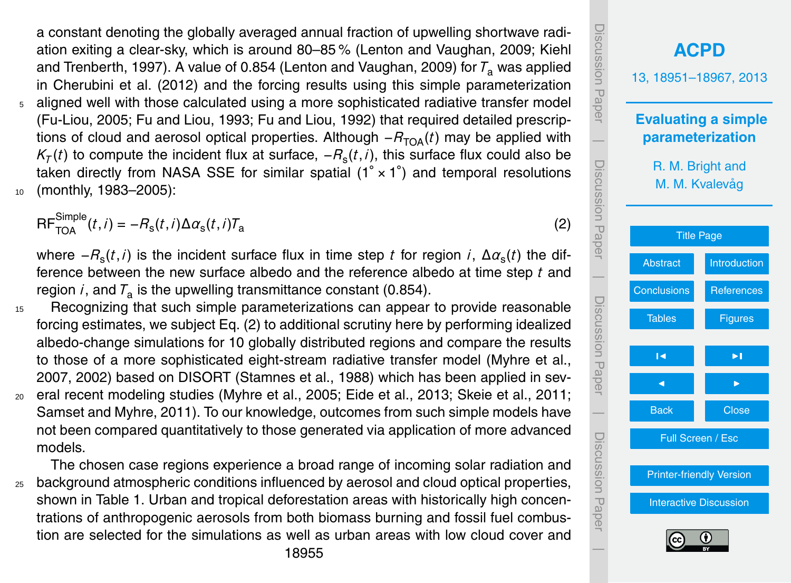a constant denoting the globally averaged annual fraction of upwelling shortwave radiation exiting a clear-sky, which is around 80–85 % (Lenton and Vaughan, 2009; Kiehl and Trenberth, 1997). A value of 0.854 (Lenton and Vaughan, 2009) for  $T_a$  was applied in Cherubini et al. (2012) and the forcing results using this simple parameterization <sup>5</sup> aligned well with those calculated using a more sophisticated radiative transfer model (Fu-Liou, 2005; Fu and Liou, 1993; Fu and Liou, 1992) that required detailed prescriptions of cloud and aerosol optical properties. Although  $- R_{T<sub>OA</sub>}(t)$  may be applied with  $K_{\mathcal{T}}(t)$  to compute the incident flux at surface,  $-R_{\rm s}(t,i)$ , this surface flux could also be taken directly from NASA SSE for similar spatial (1° × 1°) and temporal resolutions <sup>10</sup> (monthly, 1983–2005):

$$
RF_{\text{TOA}}^{\text{Simple}}(t,i) = -R_{\text{s}}(t,i)\Delta\alpha_{\text{s}}(t,i)T_{\text{a}}
$$

where −*R*<sup>s</sup> (*t*,*i*) is the incident surface flux in time step *t* for region *i*, ∆*α*<sup>s</sup> (*t*) the difference between the new surface albedo and the reference albedo at time step *t* and region *i*, and  $T_a$  is the upwelling transmittance constant (0.854).

- <sup>15</sup> Recognizing that such simple parameterizations can appear to provide reasonable forcing estimates, we subject Eq. (2) to additional scrutiny here by performing idealized albedo-change simulations for 10 globally distributed regions and compare the results to those of a more sophisticated eight-stream radiative transfer model (Myhre et al., 2007, 2002) based on DISORT (Stamnes et al., 1988) which has been applied in sev-<sup>20</sup> eral recent modeling studies (Myhre et al., 2005; Eide et al., 2013; Skeie et al., 2011;
- Samset and Myhre, 2011). To our knowledge, outcomes from such simple models have not been compared quantitatively to those generated via application of more advanced models.

The chosen case regions experience a broad range of incoming solar radiation and <sup>25</sup> background atmospheric conditions influenced by aerosol and cloud optical properties, shown in Table 1. Urban and tropical deforestation areas with historically high concentrations of anthropogenic aerosols from both biomass burning and fossil fuel combustion are selected for the simulations as well as urban areas with low cloud cover and

**[ACPD](http://www.atmos-chem-phys-discuss.net)** 13, 18951–18967, 2013 **Evaluating a simple parameterization** R. M. Bright and M. M. Kvalevag˚ [Title Page](#page-0-0) [Abstract](#page-1-0) [Introduction](#page-1-0) [Conclusions](#page-7-0) [References](#page-7-0) [Tables](#page-12-0) [Figures](#page-15-0) J I J I Back Close Full Screen / Esc [Printer-friendly Version](http://www.atmos-chem-phys-discuss.net/13/18951/2013/acpd-13-18951-2013-print.pdf) [Interactive Discussion](http://www.atmos-chem-phys-discuss.net/13/18951/2013/acpd-13-18951-2013-discussion.html) Discussion Paper | Discussion Paper | Discussion Paper | Discussion Paper|

(2)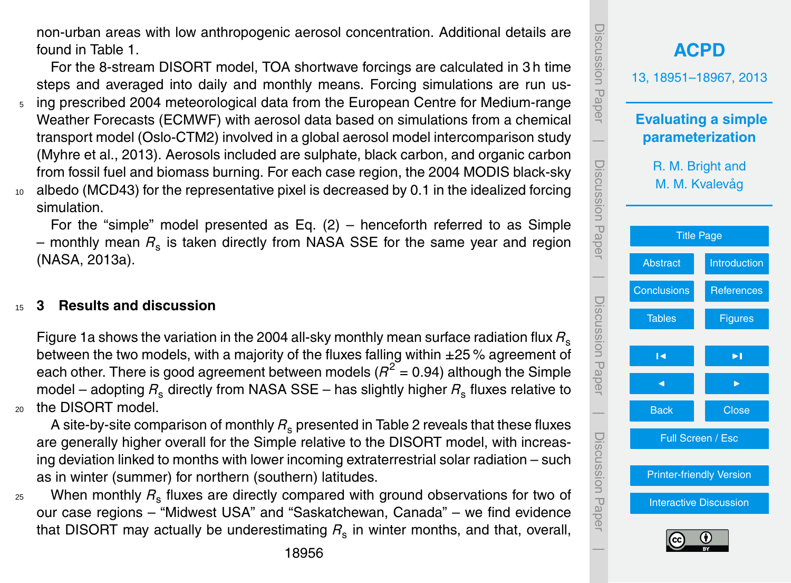non-urban areas with low anthropogenic aerosol concentration. Additional details are found in Table 1.

For the 8-stream DISORT model, TOA shortwave forcings are calculated in 3 h time steps and averaged into daily and monthly means. Forcing simulations are run us-

- <sup>5</sup> ing prescribed 2004 meteorological data from the European Centre for Medium-range Weather Forecasts (ECMWF) with aerosol data based on simulations from a chemical transport model (Oslo-CTM2) involved in a global aerosol model intercomparison study (Myhre et al., 2013). Aerosols included are sulphate, black carbon, and organic carbon from fossil fuel and biomass burning. For each case region, the 2004 MODIS black-sky <sup>10</sup> albedo (MCD43) for the representative pixel is decreased by 0.1 in the idealized forcing
- simulation.

For the "simple" model presented as Eq.  $(2)$  – henceforth referred to as Simple  $-$  monthly mean  $R_{\rm s}$  is taken directly from NASA SSE for the same year and region (NASA, 2013a).

# <sup>15</sup> **3 Results and discussion**

Figure 1a shows the variation in the 2004 all-sky monthly mean surface radiation flux *R*<sup>s</sup> between the two models, with a majority of the fluxes falling within  $\pm$ 25 % agreement of each other. There is good agreement between models ( $R^2$  = 0.94) although the Simple model – adopting  $R_s$  directly from NASA SSE – has slightly higher  $R_s$  fluxes relative to 20 the DISORT model.

A site-by-site comparison of monthly  $R_s$  presented in Table 2 reveals that these fluxes are generally higher overall for the Simple relative to the DISORT model, with increasing deviation linked to months with lower incoming extraterrestrial solar radiation – such as in winter (summer) for northern (southern) latitudes.

<sup>25</sup> When monthly *R*<sup>s</sup> fluxes are directly compared with ground observations for two of our case regions – "Midwest USA" and "Saskatchewan, Canada" – we find evidence that DISORT may actually be underestimating  $R_{\rm s}$  in winter months, and that, overall,

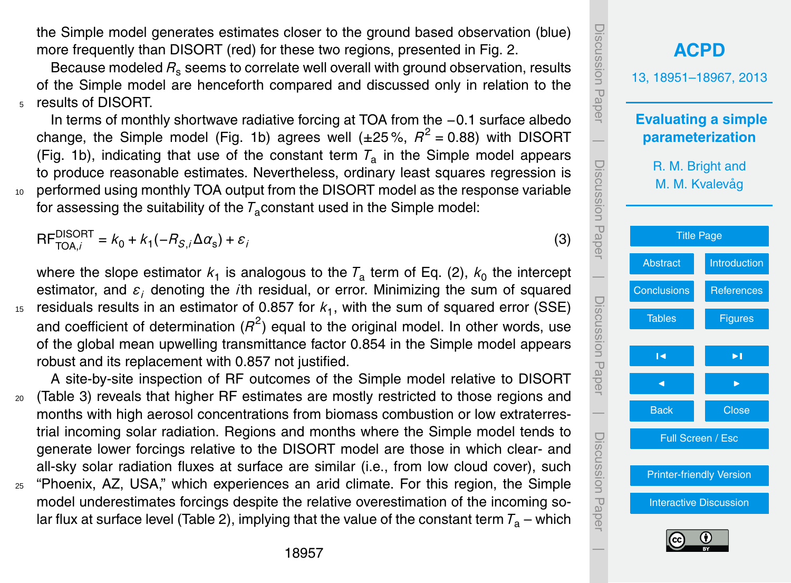the Simple model generates estimates closer to the ground based observation (blue) more frequently than DISORT (red) for these two regions, presented in Fig. 2.

Because modeled *R*<sup>s</sup> seems to correlate well overall with ground observation, results of the Simple model are henceforth compared and discussed only in relation to the <sup>5</sup> results of DISORT.

In terms of monthly shortwave radiative forcing at TOA from the −0.1 surface albedo change, the Simple model (Fig. 1b) agrees well  $(\pm 25\%, R^2 = 0.88)$  with DISORT (Fig. 1b), indicating that use of the constant term  $T_a$  in the Simple model appears to produce reasonable estimates. Nevertheless, ordinary least squares regression is <sup>10</sup> performed using monthly TOA output from the DISORT model as the response variable for assessing the suitability of the  $\mathcal{T}_\mathsf{a}$ constant used in the Simple model:

 $\mathsf{RF}_{\mathsf{TOA},i}^{\mathsf{DISORT}} = k_0 + k_1(-R_{\mathcal{S},i}\Delta\alpha_{\mathsf{s}}) + \varepsilon_i$ 

where the slope estimator  $k_1$  is analogous to the  $\mathcal{T}_a$  term of Eq. (2),  $k_0$  the intercept estimator, and *ε<sup>i</sup>* denoting the *i*th residual, or error. Minimizing the sum of squared <sup>15</sup> residuals results in an estimator of 0.857 for  $k_1$ , with the sum of squared error (SSE) and coefficient of determination ( $R^2$ ) equal to the original model. In other words, use of the global mean upwelling transmittance factor 0.854 in the Simple model appears robust and its replacement with 0.857 not justified.

A site-by-site inspection of RF outcomes of the Simple model relative to DISORT <sup>20</sup> (Table 3) reveals that higher RF estimates are mostly restricted to those regions and months with high aerosol concentrations from biomass combustion or low extraterrestrial incoming solar radiation. Regions and months where the Simple model tends to generate lower forcings relative to the DISORT model are those in which clear- and all-sky solar radiation fluxes at surface are similar (i.e., from low cloud cover), such

<sup>25</sup> "Phoenix, AZ, USA," which experiences an arid climate. For this region, the Simple model underestimates forcings despite the relative overestimation of the incoming solar flux at surface level (Table 2), implying that the value of the constant term  $T_a$  – which



(3)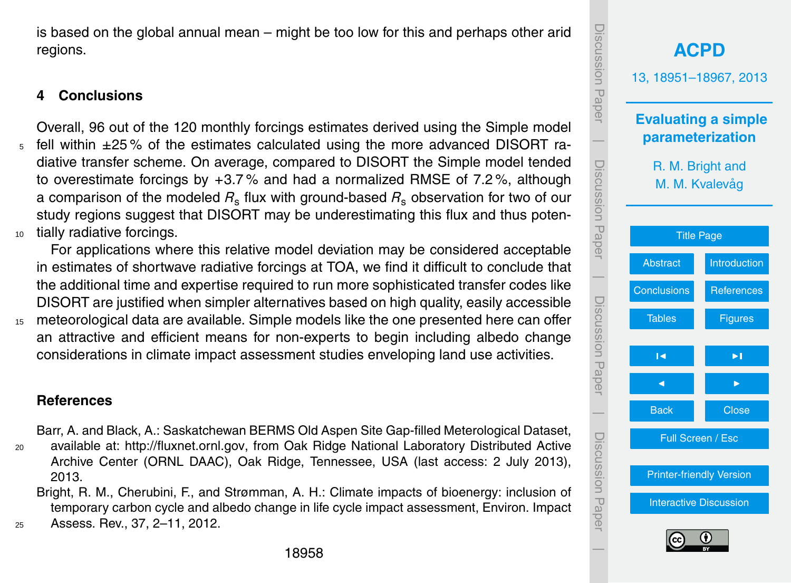Discussion PaperDiscussion Pape **[ACPD](http://www.atmos-chem-phys-discuss.net)** 13, 18951–18967, 2013 **Evaluating a simple**  $\overline{\phantom{a}}$ **parameterization** Discussion PaperDiscussion Paper R. M. Bright and M. M. Kvalevåg [Title Page](#page-0-0) [Abstract](#page-1-0) [Introduction](#page-1-0)  $\overline{\phantom{a}}$ Conclusions References Discussion PaperDiscussion Paper [Tables](#page-12-0) **[Figures](#page-15-0)** J I J I  $\overline{\phantom{a}}$ Back **N** Close Discussion PaperDiscussion Paper Full Screen / Esc [Printer-friendly Version](http://www.atmos-chem-phys-discuss.net/13/18951/2013/acpd-13-18951-2013-print.pdf) [Interactive Discussion](http://www.atmos-chem-phys-discuss.net/13/18951/2013/acpd-13-18951-2013-discussion.html)



 $\overline{\phantom{a}}$ 

<span id="page-7-0"></span>is based on the global annual mean – might be too low for this and perhaps other arid regions.

# **4 Conclusions**

Overall, 96 out of the 120 monthly forcings estimates derived using the Simple model fell within  $\pm 25\%$  of the estimates calculated using the more advanced DISORT radiative transfer scheme. On average, compared to DISORT the Simple model tended to overestimate forcings by +3.7 % and had a normalized RMSE of 7.2 %, although a comparison of the modeled  $R_s$  flux with ground-based  $R_s$  observation for two of our study regions suggest that DISORT may be underestimating this flux and thus poten-<sup>10</sup> tially radiative forcings.

For applications where this relative model deviation may be considered acceptable in estimates of shortwave radiative forcings at TOA, we find it difficult to conclude that the additional time and expertise required to run more sophisticated transfer codes like DISORT are justified when simpler alternatives based on high quality, easily accessible <sup>15</sup> meteorological data are available. Simple models like the one presented here can offer an attractive and efficient means for non-experts to begin including albedo change considerations in climate impact assessment studies enveloping land use activities.

# **References**

Barr, A. and Black, A.: Saskatchewan BERMS Old Aspen Site Gap-filled Meterological Dataset,

- <sup>20</sup> available at: [http://fluxnet.ornl.gov,](http://fluxnet.ornl.gov) from Oak Ridge National Laboratory Distributed Active Archive Center (ORNL DAAC), Oak Ridge, Tennessee, USA (last access: 2 July 2013), 2013.
- Bright, R. M., Cherubini, F., and Strømman, A. H.: Climate impacts of bioenergy: inclusion of temporary carbon cycle and albedo change in life cycle impact assessment, Environ. Impact <sup>25</sup> Assess. Rev., 37, 2–11, 2012.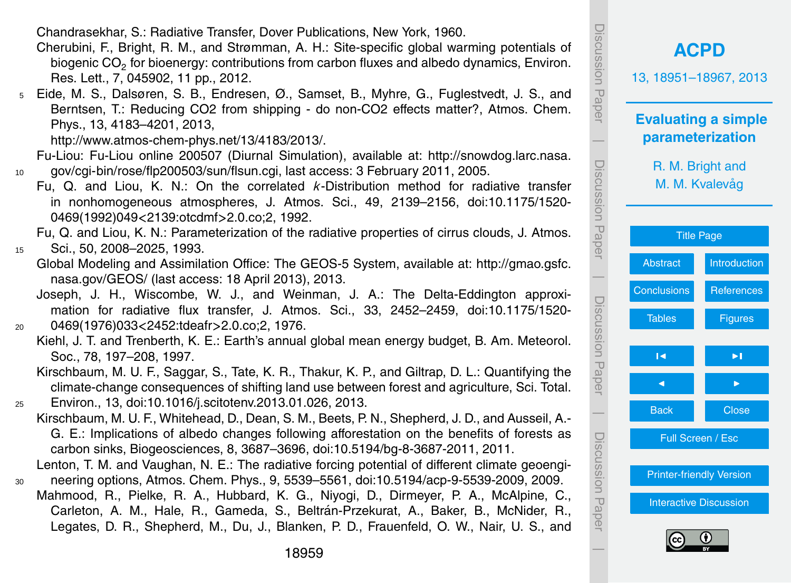Chandrasekhar, S.: Radiative Transfer, Dover Publications, New York, 1960.

- Cherubini, F., Bright, R. M., and Strømman, A. H.: Site-specific global warming potentials of biogenic CO<sub>2</sub> for bioenergy: contributions from carbon fluxes and albedo dynamics, Environ. Res. Lett., 7, 045902, 11 pp., 2012.
- <sup>5</sup> Eide, M. S., Dalsøren, S. B., Endresen, Ø., Samset, B., Myhre, G., Fuglestvedt, J. S., and Berntsen, T.: Reducing CO2 from shipping - do non-CO2 effects matter?, Atmos. Chem. Phys., 13, 4183–4201, 2013,

[http://www.atmos-chem-phys.net/13/4183/2013/.](http://www.atmos-chem-phys.net/13/4183/2013/)

[F](http://snowdog.larc.nasa.gov/cgi-bin/rose/flp200503/sun/flsun.cgi)u-Liou: Fu-Liou online 200507 (Diurnal Simulation), available at: [http://snowdog.larc.nasa.](http://snowdog.larc.nasa.gov/cgi-bin/rose/flp200503/sun/flsun.cgi) <sup>10</sup> [gov/cgi-bin/rose/flp200503/sun/flsun.cgi,](http://snowdog.larc.nasa.gov/cgi-bin/rose/flp200503/sun/flsun.cgi) last access: 3 February 2011, 2005.

Fu, Q. and Liou, K. N.: On the correlated *k*-Distribution method for radiative transfer in nonhomogeneous atmospheres, J. Atmos. Sci., 49, 2139–2156, doi[:10.1175/1520-](http://dx.doi.org/10.1175/1520-0469(1992)049%3C2139:otcdmf%3E2.0.co;2) [0469\(1992\)049](http://dx.doi.org/10.1175/1520-0469(1992)049%3C2139:otcdmf%3E2.0.co;2)*<*2139:otcdmf*>*2.0.co;2, 1992.

Fu, Q. and Liou, K. N.: Parameterization of the radiative properties of cirrus clouds, J. Atmos.

<sup>15</sup> Sci., 50, 2008–2025, 1993.

- [G](http://gmao.gsfc.nasa.gov/GEOS/)lobal Modeling and Assimilation Office: The GEOS-5 System, available at: [http://gmao.gsfc.](http://gmao.gsfc.nasa.gov/GEOS/) [nasa.gov/GEOS/](http://gmao.gsfc.nasa.gov/GEOS/) (last access: 18 April 2013), 2013.
- Joseph, J. H., Wiscombe, W. J., and Weinman, J. A.: The Delta-Eddington approximation for radiative flux transfer, J. Atmos. Sci., 33, 2452–2459, doi[:10.1175/1520-](http://dx.doi.org/10.1175/1520-0469(1976)033%3C2452:tdeafr%3E2.0.co;2) <sup>20</sup> [0469\(1976\)033](http://dx.doi.org/10.1175/1520-0469(1976)033%3C2452:tdeafr%3E2.0.co;2)*<*2452:tdeafr*>*2.0.co;2, 1976.
	- Kiehl, J. T. and Trenberth, K. E.: Earth's annual global mean energy budget, B. Am. Meteorol. Soc., 78, 197–208, 1997.
- Kirschbaum, M. U. F., Saggar, S., Tate, K. R., Thakur, K. P., and Giltrap, D. L.: Quantifying the climate-change consequences of shifting land use between forest and agriculture, Sci. Total. <sup>25</sup> Environ., 13, doi[:10.1016/j.scitotenv.2013.01.026,](http://dx.doi.org/10.1016/j.scitotenv.2013.01.026) 2013.
	- Kirschbaum, M. U. F., Whitehead, D., Dean, S. M., Beets, P. N., Shepherd, J. D., and Ausseil, A.- G. E.: Implications of albedo changes following afforestation on the benefits of forests as carbon sinks, Biogeosciences, 8, 3687–3696, doi[:10.5194/bg-8-3687-2011,](http://dx.doi.org/10.5194/bg-8-3687-2011) 2011.
- Lenton, T. M. and Vaughan, N. E.: The radiative forcing potential of different climate geoengi-<sup>30</sup> neering options, Atmos. Chem. Phys., 9, 5539–5561, doi[:10.5194/acp-9-5539-2009,](http://dx.doi.org/10.5194/acp-9-5539-2009) 2009.
	- Mahmood, R., Pielke, R. A., Hubbard, K. G., Niyogi, D., Dirmeyer, P. A., McAlpine, C., Carleton, A. M., Hale, R., Gameda, S., Beltrán-Przekurat, A., Baker, B., McNider, R., Legates, D. R., Shepherd, M., Du, J., Blanken, P. D., Frauenfeld, O. W., Nair, U. S., and





 $\overline{\phantom{a}}$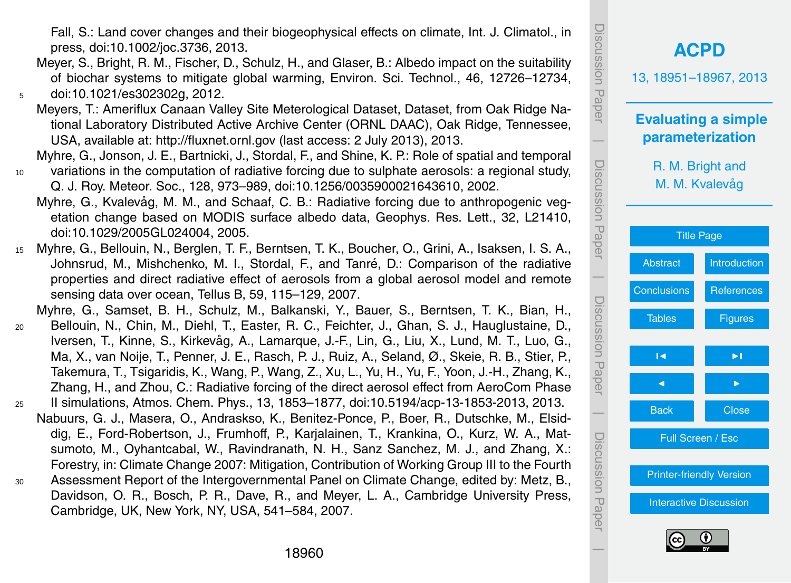Fall, S.: Land cover changes and their biogeophysical effects on climate, Int. J. Climatol., in press, doi[:10.1002/joc.3736,](http://dx.doi.org/10.1002/joc.3736) 2013.

- Meyer, S., Bright, R. M., Fischer, D., Schulz, H., and Glaser, B.: Albedo impact on the suitability of biochar systems to mitigate global warming, Environ. Sci. Technol., 46, 12726–12734, <sup>5</sup> doi[:10.1021/es302302g,](http://dx.doi.org/10.1021/es302302g) 2012.
	- Meyers, T.: Ameriflux Canaan Valley Site Meterological Dataset, Dataset, from Oak Ridge National Laboratory Distributed Active Archive Center (ORNL DAAC), Oak Ridge, Tennessee, USA, available at: <http://fluxnet.ornl.gov> (last access: 2 July 2013), 2013.
- Myhre, G., Jonson, J. E., Bartnicki, J., Stordal, F., and Shine, K. P.: Role of spatial and temporal <sup>10</sup> variations in the computation of radiative forcing due to sulphate aerosols: a regional study,
	- Q. J. Roy. Meteor. Soc., 128, 973–989, doi[:10.1256/0035900021643610,](http://dx.doi.org/10.1256/0035900021643610) 2002.
	- Myhre, G., Kvalevåg, M. M., and Schaaf, C. B.: Radiative forcing due to anthropogenic vegetation change based on MODIS surface albedo data, Geophys. Res. Lett., 32, L21410, doi[:10.1029/2005GL024004,](http://dx.doi.org/10.1029/2005GL024004) 2005.
- <sup>15</sup> Myhre, G., Bellouin, N., Berglen, T. F., Berntsen, T. K., Boucher, O., Grini, A., Isaksen, I. S. A., Johnsrud, M., Mishchenko, M. I., Stordal, F., and Tanré, D.: Comparison of the radiative properties and direct radiative effect of aerosols from a global aerosol model and remote sensing data over ocean, Tellus B, 59, 115–129, 2007.

Myhre, G., Samset, B. H., Schulz, M., Balkanski, Y., Bauer, S., Berntsen, T. K., Bian, H.,

- <sup>20</sup> Bellouin, N., Chin, M., Diehl, T., Easter, R. C., Feichter, J., Ghan, S. J., Hauglustaine, D., Iversen, T., Kinne, S., Kirkevag, A., Lamarque, J.-F., Lin, G., Liu, X., Lund, M. T., Luo, G., ˚ Ma, X., van Noije, T., Penner, J. E., Rasch, P. J., Ruiz, A., Seland, Ø., Skeie, R. B., Stier, P., Takemura, T., Tsigaridis, K., Wang, P., Wang, Z., Xu, L., Yu, H., Yu, F., Yoon, J.-H., Zhang, K., Zhang, H., and Zhou, C.: Radiative forcing of the direct aerosol effect from AeroCom Phase
- <sup>25</sup> II simulations, Atmos. Chem. Phys., 13, 1853–1877, doi[:10.5194/acp-13-1853-2013,](http://dx.doi.org/10.5194/acp-13-1853-2013) 2013. Nabuurs, G. J., Masera, O., Andraskso, K., Benitez-Ponce, P., Boer, R., Dutschke, M., Elsiddig, E., Ford-Robertson, J., Frumhoff, P., Karjalainen, T., Krankina, O., Kurz, W. A., Matsumoto, M., Oyhantcabal, W., Ravindranath, N. H., Sanz Sanchez, M. J., and Zhang, X.:
- Forestry, in: Climate Change 2007: Mitigation, Contribution of Working Group III to the Fourth <sup>30</sup> Assessment Report of the Intergovernmental Panel on Climate Change, edited by: Metz, B., Davidson, O. R., Bosch, P. R., Dave, R., and Meyer, L. A., Cambridge University Press, Cambridge, UK, New York, NY, USA, 541–584, 2007.

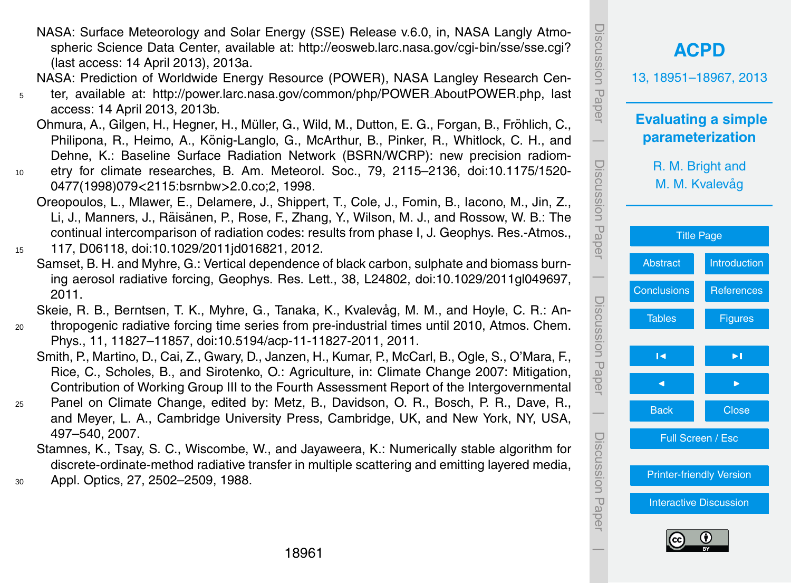- NASA: Surface Meteorology and Solar Energy (SSE) Release v.6.0, in, NASA Langly Atmospheric Science Data Center, available at: <http://eosweb.larc.nasa.gov/cgi-bin/sse/sse.cgi?> (last access: 14 April 2013), 2013a.
- NASA: Prediction of Worldwide Energy Resource (POWER), NASA Langley Research Cen-
- <sup>5</sup> ter, available at: [http://power.larc.nasa.gov/common/php/POWER](http://power.larc.nasa.gov/common/php/POWER_AboutPOWER.php) AboutPOWER.php, last access: 14 April 2013, 2013b.
	- Ohmura, A., Gilgen, H., Hegner, H., Müller, G., Wild, M., Dutton, E. G., Forgan, B., Fröhlich, C., Philipona, R., Heimo, A., König-Langlo, G., McArthur, B., Pinker, R., Whitlock, C. H., and Dehne, K.: Baseline Surface Radiation Network (BSRN/WCRP): new precision radiom-
- <sup>10</sup> etry for climate researches, B. Am. Meteorol. Soc., 79, 2115–2136, doi[:10.1175/1520-](http://dx.doi.org/10.1175/1520-0477(1998)079%3C2115:bsrnbw%3E2.0.co;2) [0477\(1998\)079](http://dx.doi.org/10.1175/1520-0477(1998)079%3C2115:bsrnbw%3E2.0.co;2)*<*2115:bsrnbw*>*2.0.co;2, 1998.
	- Oreopoulos, L., Mlawer, E., Delamere, J., Shippert, T., Cole, J., Fomin, B., Iacono, M., Jin, Z., Li, J., Manners, J., Räisänen, P., Rose, F., Zhang, Y., Wilson, M. J., and Rossow, W. B.: The continual intercomparison of radiation codes: results from phase I, J. Geophys. Res.-Atmos.,
- <sup>15</sup> 117, D06118, doi[:10.1029/2011jd016821,](http://dx.doi.org/10.1029/2011jd016821) 2012.
	- Samset, B. H. and Myhre, G.: Vertical dependence of black carbon, sulphate and biomass burning aerosol radiative forcing, Geophys. Res. Lett., 38, L24802, doi[:10.1029/2011gl049697,](http://dx.doi.org/10.1029/2011gl049697) 2011.
- Skeie, R. B., Berntsen, T. K., Myhre, G., Tanaka, K., Kvalevåg, M. M., and Hoyle, C. R.: An-<sup>20</sup> thropogenic radiative forcing time series from pre-industrial times until 2010, Atmos. Chem.
- Phys., 11, 11827–11857, doi[:10.5194/acp-11-11827-2011,](http://dx.doi.org/10.5194/acp-11-11827-2011) 2011.
	- Smith, P., Martino, D., Cai, Z., Gwary, D., Janzen, H., Kumar, P., McCarl, B., Ogle, S., O'Mara, F., Rice, C., Scholes, B., and Sirotenko, O.: Agriculture, in: Climate Change 2007: Mitigation, Contribution of Working Group III to the Fourth Assessment Report of the Intergovernmental
- <sup>25</sup> Panel on Climate Change, edited by: Metz, B., Davidson, O. R., Bosch, P. R., Dave, R., and Meyer, L. A., Cambridge University Press, Cambridge, UK, and New York, NY, USA, 497–540, 2007.
	- Stamnes, K., Tsay, S. C., Wiscombe, W., and Jayaweera, K.: Numerically stable algorithm for discrete-ordinate-method radiative transfer in multiple scattering and emitting layered media,
- <sup>30</sup> Appl. Optics, 27, 2502–2509, 1988.

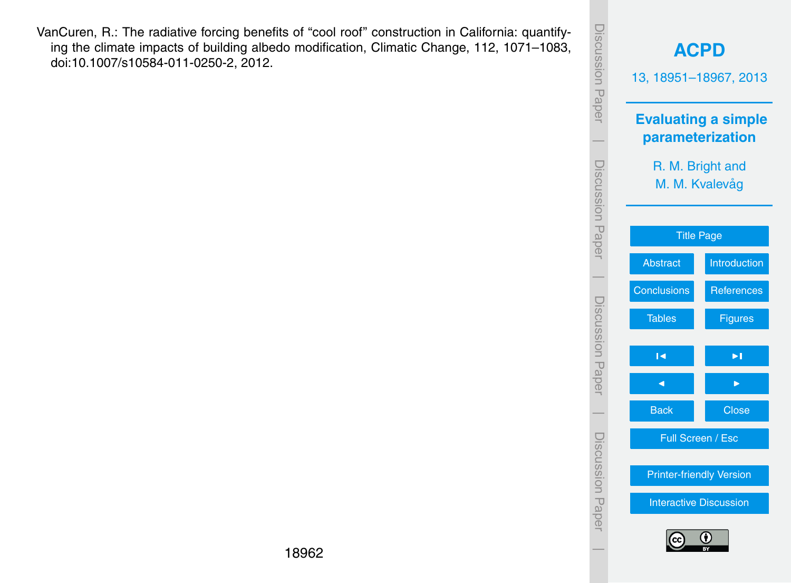VanCuren, R.: The radiative forcing benefits of "cool roof" construction in California: quantifying the climate impacts of building albedo modification, Climatic Change, 112, 1071–1083, doi[:10.1007/s10584-011-0250-2,](http://dx.doi.org/10.1007/s10584-011-0250-2) 2012.

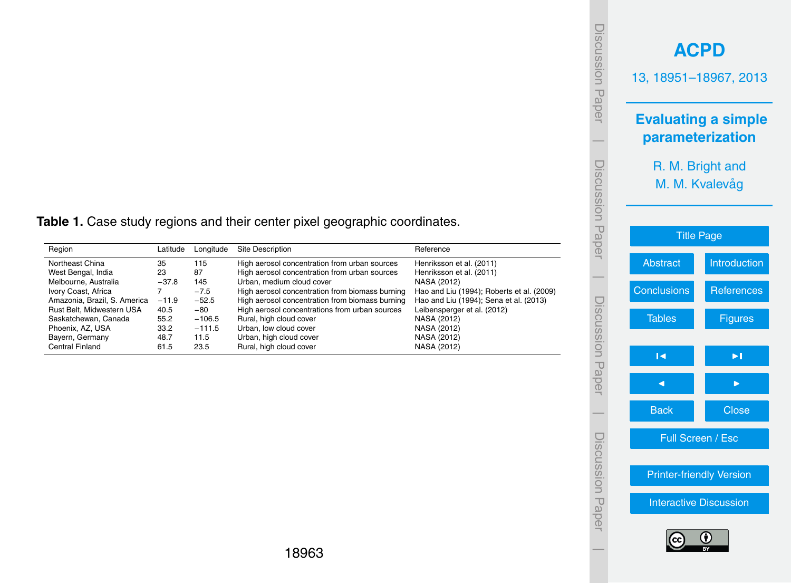|                    | <b>ACPD</b><br>13, 18951-18967, 2013           |
|--------------------|------------------------------------------------|
|                    | <b>Evaluating a simple</b><br>parameterization |
|                    | R. M. Bright and<br>M. M. Kvalevåg             |
|                    | <b>Title Page</b>                              |
| <b>Abstract</b>    | <b>Introduction</b>                            |
| <b>Conclusions</b> | <b>References</b>                              |
| <b>Tables</b>      | <b>Figures</b>                                 |
| Ñ                  | ьl                                             |
|                    |                                                |
| <b>Back</b>        | Close                                          |
|                    | Full Screen / Esc                              |
|                    | <b>Printer-friendly Version</b>                |
|                    | <b>Interactive Discussion</b>                  |
| (cc                | (†                                             |

Discussion Paper

Discussion Paper

 $\overline{\phantom{a}}$ 

Discussion Paper

Discussion Paper

 $\overline{\phantom{a}}$ 

Discussion Paper

Discussion Paper

 $\overline{\phantom{a}}$ 

Discussion Paper

Discussion Paper

 $\overline{\phantom{a}}$ 

<span id="page-12-0"></span>**Table 1.** Case study regions and their center pixel geographic coordinates.

| Region                       | Latitude | Longitude | <b>Site Description</b>                         | Reference                                 |
|------------------------------|----------|-----------|-------------------------------------------------|-------------------------------------------|
| Northeast China              | 35       | 115       | High aerosol concentration from urban sources   | Henriksson et al. (2011)                  |
| West Bengal, India           | 23       | 87        | High aerosol concentration from urban sources   | Henriksson et al. (2011)                  |
| Melbourne, Australia         | $-37.8$  | 145       | Urban, medium cloud cover                       | NASA (2012)                               |
| Ivory Coast, Africa          |          | $-7.5$    | High aerosol concentration from biomass burning | Hao and Liu (1994); Roberts et al. (2009) |
| Amazonia, Brazil, S. America | $-11.9$  | $-52.5$   | High aerosol concentration from biomass burning | Hao and Liu (1994); Sena et al. (2013)    |
| Rust Belt, Midwestern USA    | 40.5     | $-80$     | High aerosol concentrations from urban sources  | Leibensperger et al. (2012)               |
| Saskatchewan, Canada         | 55.2     | $-106.5$  | Rural, high cloud cover                         | NASA (2012)                               |
| Phoenix, AZ, USA             | 33.2     | $-111.5$  | Urban, low cloud cover                          | NASA (2012)                               |
| Bayern, Germany              | 48.7     | 11.5      | Urban, high cloud cover                         | NASA (2012)                               |
| <b>Central Finland</b>       | 61.5     | 23.5      | Rural, high cloud cover                         | NASA (2012)                               |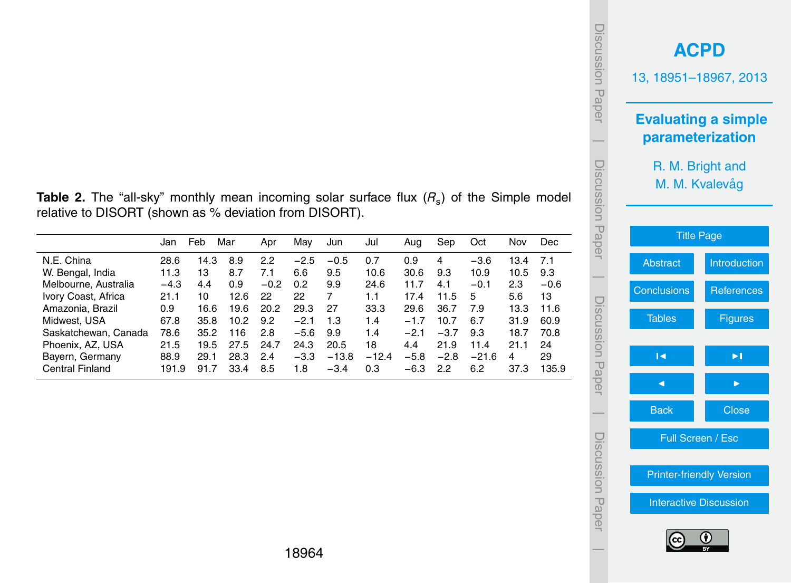| iscussion Paper  | <b>ACPD</b><br>13, 18951-18967, 2013 |                            |
|------------------|--------------------------------------|----------------------------|
|                  | parameterization                     | <b>Evaluating a simple</b> |
| Discussion Paper | R. M. Bright and<br>M. M. Kvalevåg   |                            |
|                  | <b>Title Page</b>                    |                            |
|                  | <b>Abstract</b>                      | Introduction               |
|                  | <b>Conclusions</b>                   | <b>References</b>          |
| Discussion Paper | <b>Tables</b>                        | <b>Figures</b>             |
|                  | R                                    | Þ.                         |
|                  |                                      |                            |
|                  | <b>Back</b>                          | Close                      |
| Discussion Paper | Full Screen / Esc                    |                            |
|                  | <b>Printer-friendly Version</b>      |                            |
|                  | <b>Interactive Discussion</b>        |                            |
|                  | (cc                                  | G)                         |

**Table 2.** The "all-sky" monthly mean incoming solar surface flux ( $R_s$ ) of the Simple model relative to DISORT (shown as % deviation from DISORT).

|                        | Jan    | Feb  | Mar  | Apr    | Mav    | Jun     | Jul     | Aug    | Sep    | Oct     | Nov  | Dec    |
|------------------------|--------|------|------|--------|--------|---------|---------|--------|--------|---------|------|--------|
| N.E. China             | 28.6   | 14.3 | 8.9  | 2.2    | $-2.5$ | $-0.5$  | 0.7     | 0.9    | 4      | $-3.6$  | 13.4 | 7.1    |
| W. Bengal, India       | 11.3   | 13   | 8.7  | 7.1    | 6.6    | 9.5     | 10.6    | 30.6   | 9.3    | 10.9    | 10.5 | 9.3    |
| Melbourne, Australia   | $-4.3$ | 4.4  | 0.9  | $-0.2$ | 0.2    | 9.9     | 24.6    | 11.7   | 4.1    | $-0.1$  | 2.3  | $-0.6$ |
| Ivory Coast, Africa    | 21.1   | 10   | 12.6 | 22     | 22     | 7       | 1.1     | 17.4   | 11.5   | 5       | 5.6  | 13     |
| Amazonia, Brazil       | 0.9    | 16.6 | 19.6 | 20.2   | 29.3   | 27      | 33.3    | 29.6   | 36.7   | 7.9     | 13.3 | 11.6   |
| Midwest, USA           | 67.8   | 35.8 | 10.2 | 9.2    | $-2.1$ | 1.3     | 1.4     | $-1.7$ | 10.7   | 6.7     | 31.9 | 60.9   |
| Saskatchewan, Canada   | 78.6   | 35.2 | 116  | 2.8    | $-5.6$ | 9.9     | 1.4     | $-2.1$ | $-3.7$ | 9.3     | 18.7 | 70.8   |
| Phoenix, AZ, USA       | 21.5   | 19.5 | 27.5 | 24.7   | 24.3   | 20.5    | 18      | 4.4    | 21.9   | 11.4    | 21.1 | 24     |
| Bayern, Germany        | 88.9   | 29.1 | 28.3 | 2.4    | $-3.3$ | $-13.8$ | $-12.4$ | $-5.8$ | $-2.8$ | $-21.6$ | 4    | 29     |
| <b>Central Finland</b> | 191.9  | 91.7 | 33.4 | 8.5    | 1.8    | $-3.4$  | 0.3     | $-6.3$ | 22     | 6.2     | 37.3 | 135.9  |
|                        |        |      |      |        |        |         |         |        |        |         |      |        |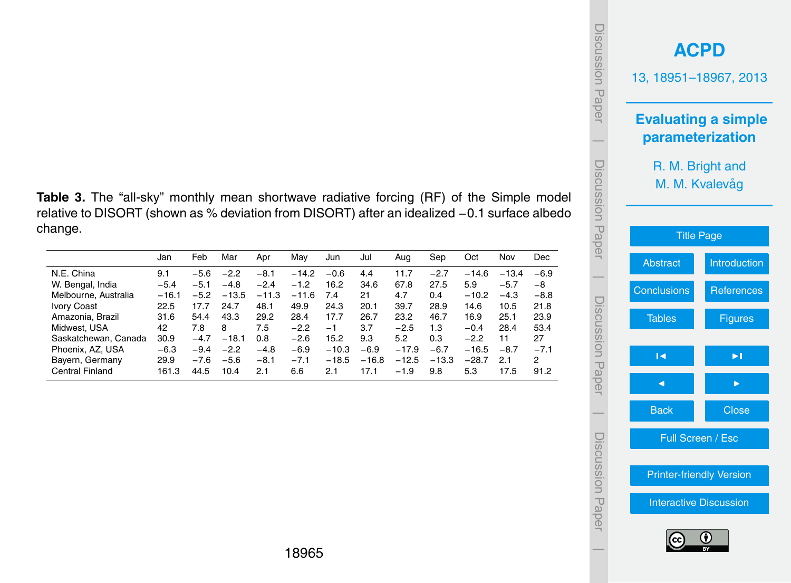|                                                                                                                                                                                                     |                |                  |                  |                  |                  |                    |                   |                    |                   |                    |               |                          | Disci<br>uoissn<br>Paper | 13, 11<br><b>Eva</b><br>par |
|-----------------------------------------------------------------------------------------------------------------------------------------------------------------------------------------------------|----------------|------------------|------------------|------------------|------------------|--------------------|-------------------|--------------------|-------------------|--------------------|---------------|--------------------------|--------------------------|-----------------------------|
|                                                                                                                                                                                                     |                |                  |                  |                  |                  |                    |                   |                    |                   |                    |               |                          |                          |                             |
| Table 3. The "all-sky" monthly mean shortwave radiative forcing (RF) of the Simple model<br>relative to DISORT (shown as % deviation from DISORT) after an idealized -0.1 surface albedo<br>change. |                |                  |                  |                  |                  |                    |                   |                    |                   |                    |               |                          | liscussion               |                             |
|                                                                                                                                                                                                     | Jan            | Feb              | Mar              | Apr              | May              | Jun                | Jul               | Aug                | Sep               | Oct                | Nov           | Dec                      | Paper                    | <b>Abs</b>                  |
| N.E. China                                                                                                                                                                                          | 9.1            | $-5.6$           | $-2.2$           | $-8.1$           | $-14.2$          | $-0.6$             | 4.4               | 11.7               | $-2.7$            | $-14.6$            | $-13.4$       | $-6.9$                   |                          |                             |
| W. Bengal, India                                                                                                                                                                                    | $-5.4$         | $-5.1$           | $-4.8$           | $-2.4$           | $-1.2$           | 16.2               | 34.6              | 67.8               | 27.5              | 5.9                | $-5.7$        | -8                       |                          | Concl                       |
|                                                                                                                                                                                                     | $-16.1$        | $-5.2$           | $-13.5$          | $-11.3$          | $-11.6$          | 7.4                | 21                | 4.7                | 0.4               | $-10.2$            | $-4.3$        | $-8.8$                   |                          |                             |
|                                                                                                                                                                                                     | 22.5           | 17.7             | 24.7             | 48.1             | 49.9             | 24.3               | 20.1              | 39.7               | 28.9              | 14.6               | 10.5          | 21.8                     |                          |                             |
|                                                                                                                                                                                                     | 31.6           | 54.4             | 43.3             | 29.2             | 28.4             | 17.7               | 26.7              | 23.2               | 46.7              | 16.9               | 25.1          | 23.9                     |                          |                             |
|                                                                                                                                                                                                     | 42             | 7.8              | 8                | 7.5              | $-2.2$           | $-1$               | 3.7               | $-2.5$             | 1.3               | $-0.4$             | 28.4          | 53.4                     | Discus                   |                             |
| Melbourne, Australia<br><b>Ivory Coast</b><br>Amazonia, Brazil<br>Midwest, USA<br>Saskatchewan, Canada                                                                                              | 30.9           | $-4.7$           | $-18.1$          | 0.8              | $-2.6$           | 15.2               | 9.3               | 5.2                | 0.3               | $-2.2$             | 11            | 27                       |                          |                             |
| Phoenix, AZ, USA<br>Bayern, Germany                                                                                                                                                                 | $-6.3$<br>29.9 | $-9.4$<br>$-7.6$ | $-2.2$<br>$-5.6$ | $-4.8$<br>$-8.1$ | $-6.9$<br>$-7.1$ | $-10.3$<br>$-18.5$ | $-6.9$<br>$-16.8$ | $-17.9$<br>$-12.5$ | $-6.7$<br>$-13.3$ | $-16.5$<br>$-28.7$ | $-8.7$<br>2.1 | $-7.1$<br>$\overline{2}$ | pion<br>Pape             |                             |



 $\overline{\phantom{a}}$ 

Discussion Paper

 $\overline{\phantom{a}}$ 

change.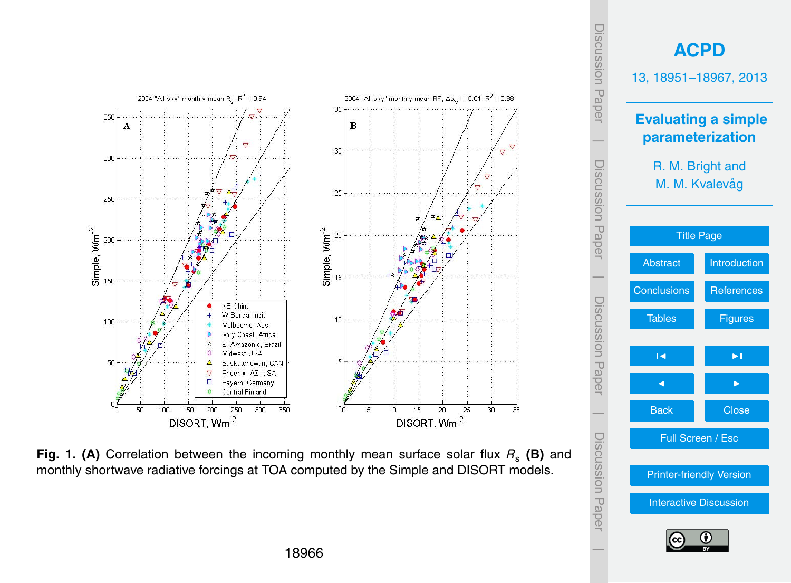<span id="page-15-0"></span>

**Fig. 1. (A)** Correlation between the incoming monthly mean surface solar flux  $R_s$  (B) and monthly shortwave radiative forcings at TOA computed by the Simple and DISORT models.

 $\overline{\phantom{a}}$ 

[Printer-friendly Version](http://www.atmos-chem-phys-discuss.net/13/18951/2013/acpd-13-18951-2013-print.pdf)

[Interactive Discussion](http://www.atmos-chem-phys-discuss.net/13/18951/2013/acpd-13-18951-2013-discussion.html)